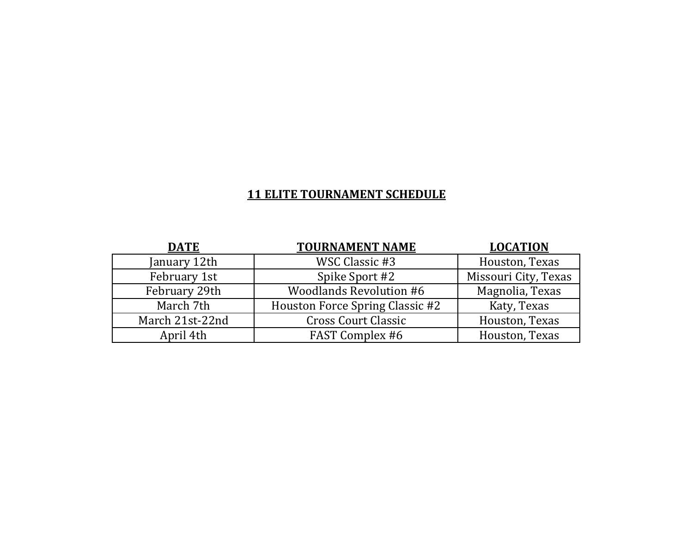| <b>DATE</b>     | <b>TOURNAMENT NAME</b>          | <b>LOCATION</b>      |
|-----------------|---------------------------------|----------------------|
| January 12th    | WSC Classic #3                  | Houston, Texas       |
| February 1st    | Spike Sport #2                  | Missouri City, Texas |
| February 29th   | <b>Woodlands Revolution #6</b>  | Magnolia, Texas      |
| March 7th       | Houston Force Spring Classic #2 | Katy, Texas          |
| March 21st-22nd | <b>Cross Court Classic</b>      | Houston, Texas       |
| April 4th       | <b>FAST Complex #6</b>          | Houston, Texas       |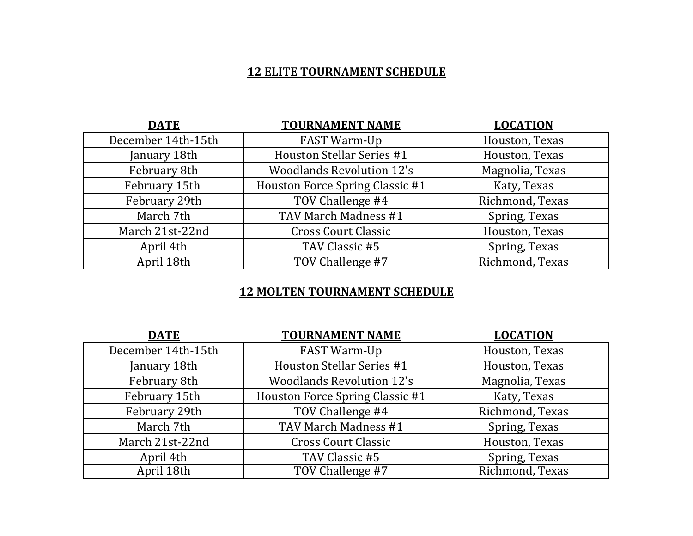| <b>DATE</b>        | <b>TOURNAMENT NAME</b>           | <b>LOCATION</b> |
|--------------------|----------------------------------|-----------------|
| December 14th-15th | FAST Warm-Up                     | Houston, Texas  |
| January 18th       | Houston Stellar Series #1        | Houston, Texas  |
| February 8th       | <b>Woodlands Revolution 12's</b> | Magnolia, Texas |
| February 15th      | Houston Force Spring Classic #1  | Katy, Texas     |
| February 29th      | TOV Challenge #4                 | Richmond, Texas |
| March 7th          | TAV March Madness #1             | Spring, Texas   |
| March 21st-22nd    | <b>Cross Court Classic</b>       | Houston, Texas  |
| April 4th          | TAV Classic #5                   | Spring, Texas   |
| April 18th         | TOV Challenge #7                 | Richmond, Texas |

| <b>DATE</b>        | <b>TOURNAMENT NAME</b>           | <b>LOCATION</b> |
|--------------------|----------------------------------|-----------------|
| December 14th-15th | FAST Warm-Up                     | Houston, Texas  |
| January 18th       | <b>Houston Stellar Series #1</b> | Houston, Texas  |
| February 8th       | <b>Woodlands Revolution 12's</b> | Magnolia, Texas |
| February 15th      | Houston Force Spring Classic #1  | Katy, Texas     |
| February 29th      | TOV Challenge #4                 | Richmond, Texas |
| March 7th          | TAV March Madness #1             | Spring, Texas   |
| March 21st-22nd    | <b>Cross Court Classic</b>       | Houston, Texas  |
| April 4th          | TAV Classic #5                   | Spring, Texas   |
| April 18th         | TOV Challenge #7                 | Richmond, Texas |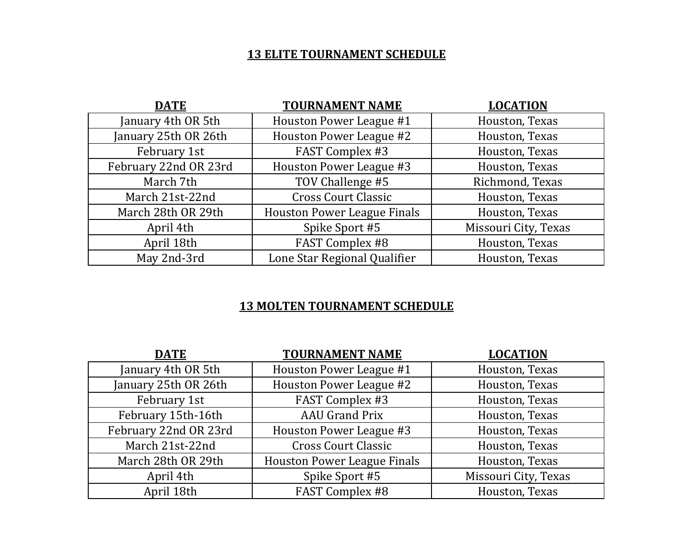| DATE                  | <b>TOURNAMENT NAME</b>             | <b>LOCATION</b>      |
|-----------------------|------------------------------------|----------------------|
| January 4th OR 5th    | Houston Power League #1            | Houston, Texas       |
| January 25th OR 26th  | Houston Power League #2            | Houston, Texas       |
| February 1st          | <b>FAST Complex #3</b>             | Houston, Texas       |
| February 22nd OR 23rd | Houston Power League #3            | Houston, Texas       |
| March 7th             | TOV Challenge #5                   | Richmond, Texas      |
| March 21st-22nd       | <b>Cross Court Classic</b>         | Houston, Texas       |
| March 28th OR 29th    | <b>Houston Power League Finals</b> | Houston, Texas       |
| April 4th             | Spike Sport #5                     | Missouri City, Texas |
| April 18th            | <b>FAST Complex #8</b>             | Houston, Texas       |
| May 2nd-3rd           | Lone Star Regional Qualifier       | Houston, Texas       |

| <b>DATE</b>           | <b>TOURNAMENT NAME</b>             | <b>LOCATION</b>      |
|-----------------------|------------------------------------|----------------------|
| January 4th OR 5th    | Houston Power League #1            | Houston, Texas       |
| January 25th OR 26th  | Houston Power League #2            | Houston, Texas       |
| February 1st          | <b>FAST Complex #3</b>             | Houston, Texas       |
| February 15th-16th    | <b>AAU Grand Prix</b>              | Houston, Texas       |
| February 22nd OR 23rd | Houston Power League #3            | Houston, Texas       |
| March 21st-22nd       | <b>Cross Court Classic</b>         | Houston, Texas       |
| March 28th OR 29th    | <b>Houston Power League Finals</b> | Houston, Texas       |
| April 4th             | Spike Sport #5                     | Missouri City, Texas |
| April 18th            | <b>FAST Complex #8</b>             | Houston, Texas       |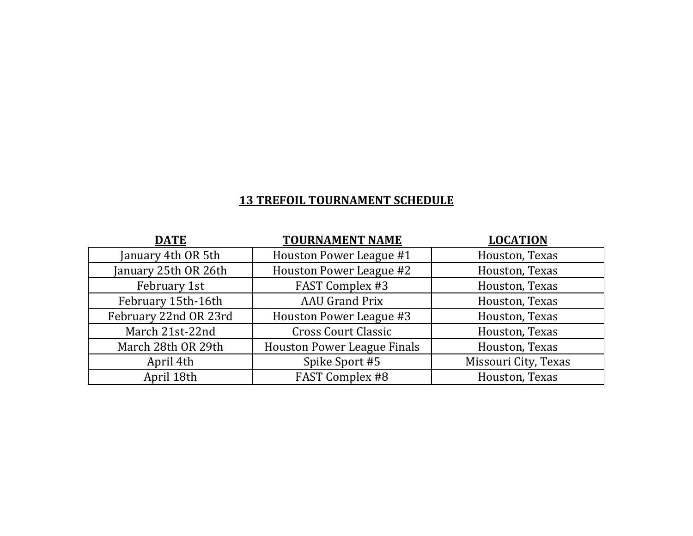## **13 TREFOIL TOURNAMENT SCHEDULE**

| <b>DATE</b>           | <b>TOURNAMENT NAME</b>             | <b>LOCATION</b>      |
|-----------------------|------------------------------------|----------------------|
| January 4th OR 5th    | Houston Power League #1            | Houston, Texas       |
| January 25th OR 26th  | Houston Power League #2            | Houston, Texas       |
| February 1st          | FAST Complex #3                    | Houston, Texas       |
| February 15th-16th    | <b>AAU Grand Prix</b>              | Houston, Texas       |
| February 22nd OR 23rd | Houston Power League #3            | Houston, Texas       |
| March 21st-22nd       | <b>Cross Court Classic</b>         | Houston, Texas       |
| March 28th OR 29th    | <b>Houston Power League Finals</b> | Houston, Texas       |
| April 4th             | Spike Sport #5                     | Missouri City, Texas |
| April 18th            | <b>FAST Complex #8</b>             | Houston, Texas       |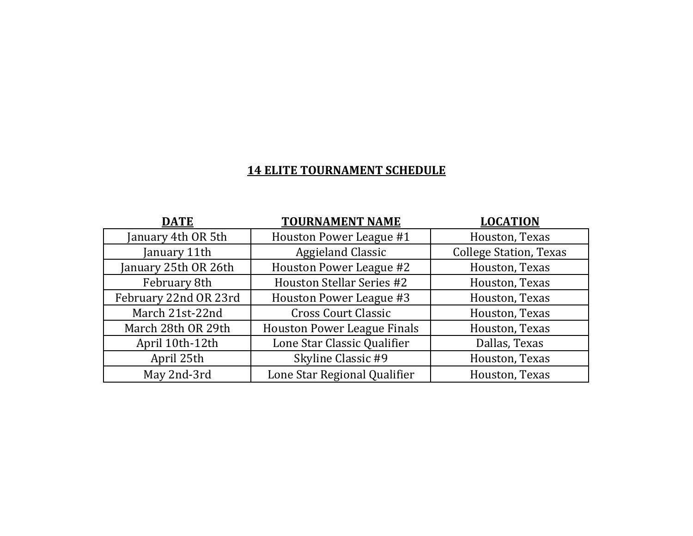| <u>DATE</u>           | <b>TOURNAMENT NAME</b>             | <b>LOCATION</b>               |
|-----------------------|------------------------------------|-------------------------------|
| January 4th OR 5th    | Houston Power League #1            | Houston, Texas                |
| January 11th          | <b>Aggieland Classic</b>           | <b>College Station, Texas</b> |
| January 25th OR 26th  | Houston Power League #2            | Houston, Texas                |
| February 8th          | <b>Houston Stellar Series #2</b>   | Houston, Texas                |
| February 22nd OR 23rd | Houston Power League #3            | Houston, Texas                |
| March 21st-22nd       | <b>Cross Court Classic</b>         | Houston, Texas                |
| March 28th OR 29th    | <b>Houston Power League Finals</b> | Houston, Texas                |
| April 10th-12th       | Lone Star Classic Qualifier        | Dallas, Texas                 |
| April 25th            | Skyline Classic #9                 | Houston, Texas                |
| May 2nd-3rd           | Lone Star Regional Qualifier       | Houston, Texas                |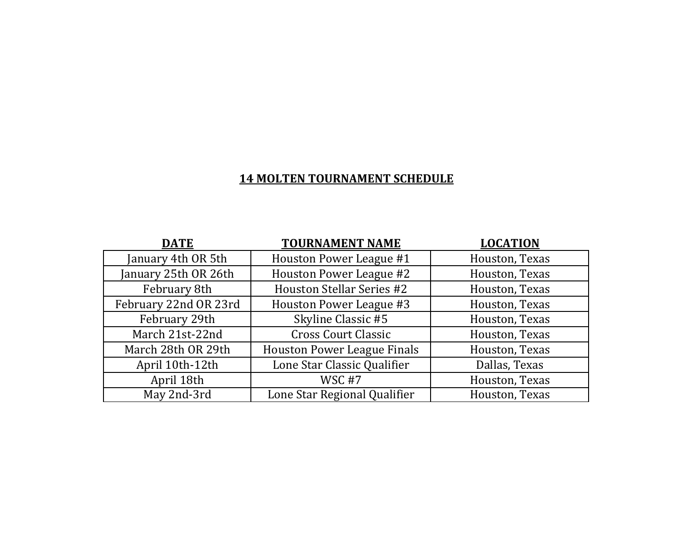| <b>DATE</b>           | <b>TOURNAMENT NAME</b>             | <b>LOCATION</b> |
|-----------------------|------------------------------------|-----------------|
| January 4th OR 5th    | Houston Power League #1            | Houston, Texas  |
| January 25th OR 26th  | Houston Power League #2            | Houston, Texas  |
| February 8th          | <b>Houston Stellar Series #2</b>   | Houston, Texas  |
| February 22nd OR 23rd | Houston Power League #3            | Houston, Texas  |
| February 29th         | Skyline Classic #5                 | Houston, Texas  |
| March 21st-22nd       | <b>Cross Court Classic</b>         | Houston, Texas  |
| March 28th OR 29th    | <b>Houston Power League Finals</b> | Houston, Texas  |
| April 10th-12th       | Lone Star Classic Qualifier        | Dallas, Texas   |
| April 18th            | WSC <sub>#7</sub>                  | Houston, Texas  |
| May 2nd-3rd           | Lone Star Regional Qualifier       | Houston, Texas  |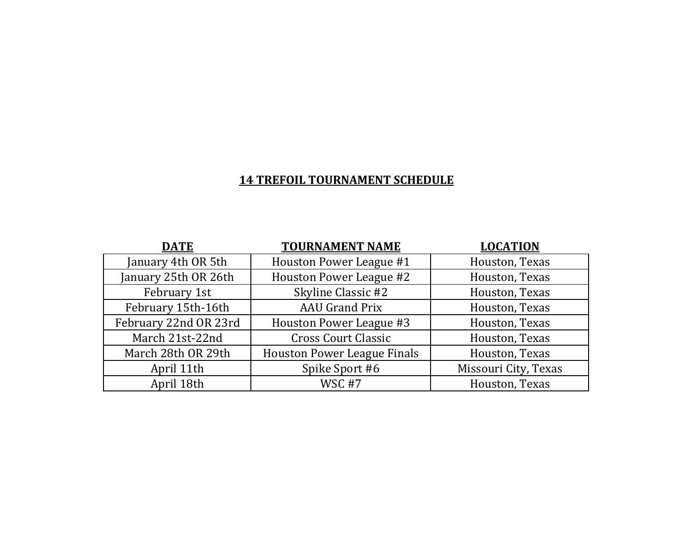#### **14 TREFOIL TOURNAMENT SCHEDULE**

| <b>DATE</b>           | <b>TOURNAMENT NAME</b>             | <b>LOCATION</b>      |
|-----------------------|------------------------------------|----------------------|
| January 4th OR 5th    | Houston Power League #1            | Houston, Texas       |
| January 25th OR 26th  | Houston Power League #2            | Houston, Texas       |
| February 1st          | Skyline Classic #2                 | Houston, Texas       |
| February 15th-16th    | <b>AAU Grand Prix</b>              | Houston, Texas       |
| February 22nd OR 23rd | Houston Power League #3            | Houston, Texas       |
| March 21st-22nd       | <b>Cross Court Classic</b>         | Houston, Texas       |
| March 28th OR 29th    | <b>Houston Power League Finals</b> | Houston, Texas       |
| April 11th            | Spike Sport #6                     | Missouri City, Texas |
| April 18th            | WSC <sub>#7</sub>                  | Houston, Texas       |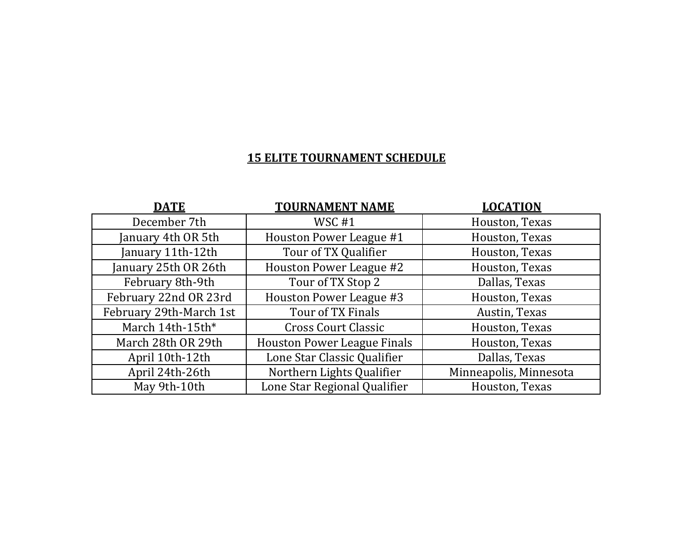| <b>DATE</b>             | <b>TOURNAMENT NAME</b>             | <b>LOCATION</b>        |
|-------------------------|------------------------------------|------------------------|
| December 7th            | WSC#1                              | Houston, Texas         |
| January 4th OR 5th      | Houston Power League #1            | Houston, Texas         |
| January 11th-12th       | Tour of TX Qualifier               | Houston, Texas         |
| January 25th OR 26th    | Houston Power League #2            | Houston, Texas         |
| February 8th-9th        | Tour of TX Stop 2                  | Dallas, Texas          |
| February 22nd OR 23rd   | Houston Power League #3            | Houston, Texas         |
| February 29th-March 1st | Tour of TX Finals                  | Austin, Texas          |
| March 14th-15th*        | <b>Cross Court Classic</b>         | Houston, Texas         |
| March 28th OR 29th      | <b>Houston Power League Finals</b> | Houston, Texas         |
| April 10th-12th         | Lone Star Classic Qualifier        | Dallas, Texas          |
| April 24th-26th         | Northern Lights Qualifier          | Minneapolis, Minnesota |
| May 9th-10th            | Lone Star Regional Qualifier       | Houston, Texas         |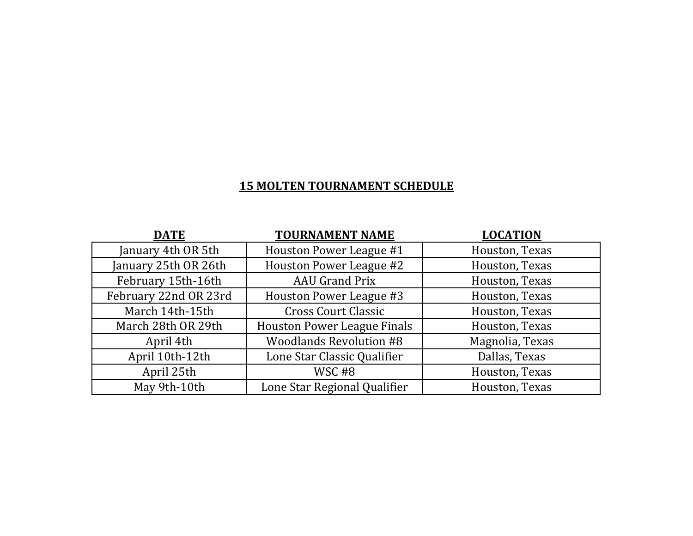| <b>DATE</b>           | <b>TOURNAMENT NAME</b>             | <b>LOCATION</b> |
|-----------------------|------------------------------------|-----------------|
| January 4th OR 5th    | Houston Power League #1            | Houston, Texas  |
| January 25th OR 26th  | Houston Power League #2            | Houston, Texas  |
| February 15th-16th    | <b>AAU Grand Prix</b>              | Houston, Texas  |
| February 22nd OR 23rd | Houston Power League #3            | Houston, Texas  |
| March 14th-15th       | <b>Cross Court Classic</b>         | Houston, Texas  |
| March 28th OR 29th    | <b>Houston Power League Finals</b> | Houston, Texas  |
| April 4th             | <b>Woodlands Revolution #8</b>     | Magnolia, Texas |
| April 10th-12th       | Lone Star Classic Qualifier        | Dallas, Texas   |
| April 25th            | WSC#8                              | Houston, Texas  |
| May 9th-10th          | Lone Star Regional Qualifier       | Houston, Texas  |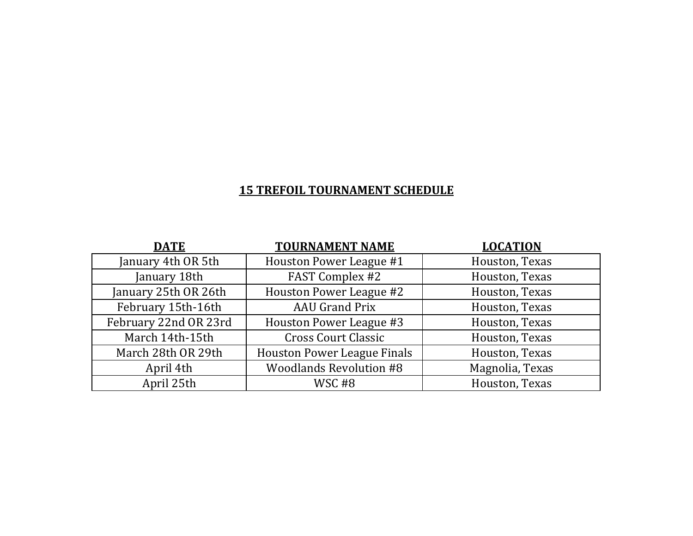### **15 TREFOIL TOURNAMENT SCHEDULE**

| <b>DATE</b>           | <b>TOURNAMENT NAME</b>             | <b>LOCATION</b> |
|-----------------------|------------------------------------|-----------------|
| January 4th OR 5th    | Houston Power League #1            | Houston, Texas  |
| January 18th          | FAST Complex #2                    | Houston, Texas  |
| January 25th OR 26th  | Houston Power League #2            | Houston, Texas  |
| February 15th-16th    | <b>AAU Grand Prix</b>              | Houston, Texas  |
| February 22nd OR 23rd | Houston Power League #3            | Houston, Texas  |
| March 14th-15th       | <b>Cross Court Classic</b>         | Houston, Texas  |
| March 28th OR 29th    | <b>Houston Power League Finals</b> | Houston, Texas  |
| April 4th             | <b>Woodlands Revolution #8</b>     | Magnolia, Texas |
| April 25th            | WSC#8                              | Houston, Texas  |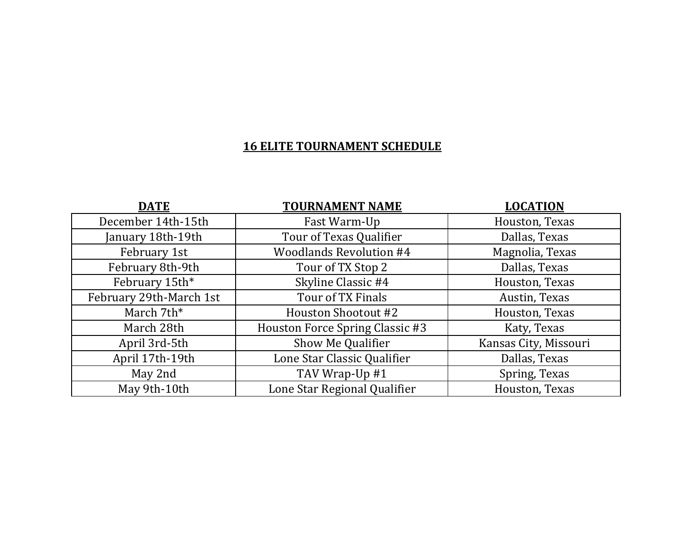| <b>DATE</b>             | <b>TOURNAMENT NAME</b>          | <b>LOCATION</b>       |
|-------------------------|---------------------------------|-----------------------|
| December 14th-15th      | Fast Warm-Up                    | Houston, Texas        |
| January 18th-19th       | Tour of Texas Qualifier         | Dallas, Texas         |
| February 1st            | <b>Woodlands Revolution #4</b>  | Magnolia, Texas       |
| February 8th-9th        | Tour of TX Stop 2               | Dallas, Texas         |
| February 15th*          | Skyline Classic #4              | Houston, Texas        |
| February 29th-March 1st | Tour of TX Finals               | Austin, Texas         |
| March 7th*              | Houston Shootout #2             | Houston, Texas        |
| March 28th              | Houston Force Spring Classic #3 | Katy, Texas           |
| April 3rd-5th           | Show Me Qualifier               | Kansas City, Missouri |
| April 17th-19th         | Lone Star Classic Qualifier     | Dallas, Texas         |
| May 2nd                 | TAV Wrap-Up #1                  | Spring, Texas         |
| May 9th-10th            | Lone Star Regional Qualifier    | Houston, Texas        |